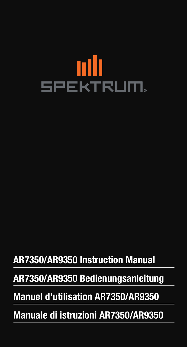

# AR7350/AR9350 Instruction Manual

# AR7350/AR9350 Bedienungsanleitung

# Manuel d'utilisation AR7350/AR9350

Manuale di istruzioni AR7350/AR9350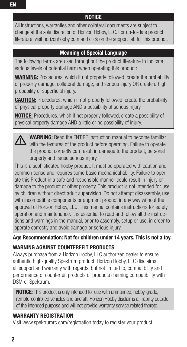All instructions, warranties and other collateral documents are subject to change at the sole discretion of Horizon Hobby, LLC. For up-to-date product literature, visit horizonhobby.com and click on the support tab for this product.

#### Meaning of Special Language

The following terms are used throughout the product literature to indicate various levels of potential harm when operating this product:

**WARNING:** Procedures, which if not properly followed, create the probability of property damage, collateral damage, and serious injury OR create a high probability of superficial injury.

**CAUTION:** Procedures, which if not properly followed, create the probability of physical property damage AND a possibility of serious injury.

**NOTICE:** Procedures, which if not properly followed, create a possibility of physical property damage AND a little or no possibility of injury.

WARNING: Read the ENTIRE instruction manual to become familiar with the features of the product before operating. Failure to operate the product correctly can result in damage to the product, personal property and cause serious injury.

This is a sophisticated hobby product. It must be operated with caution and common sense and requires some basic mechanical ability. Failure to operate this Product in a safe and responsible manner could result in injury or damage to the product or other property. This product is not intended for use by children without direct adult supervision. Do not attempt disassembly, use with incompatible components or augment product in any way without the approval of Horizon Hobby, LLC. This manual contains instructions for safety, operation and maintenance. It is essential to read and follow all the instructions and warnings in the manual, prior to assembly, setup or use, in order to operate correctly and avoid damage or serious injury.

#### Age Recommendation: Not for children under 14 years. This is not a toy.

#### WARNING AGAINST COUNTERFEIT PRODUCTS

Always purchase from a Horizon Hobby, LLC authorized dealer to ensure authentic high-quality Spektrum product. Horizon Hobby, LLC disclaims all support and warranty with regards, but not limited to, compatibility and performance of counterfeit products or products claiming compatibility with DSM or Spektrum.

**NOTICE:** This product is only intended for use with unmanned, hobby-grade, remote-controlled vehicles and aircraft. Horizon Hobby disclaims all liability outside of the intended purpose and will not provide warranty service related thereto.

#### WARRANTY REGISTRATION

Visit www.spektrumrc.com/registration today to register your product.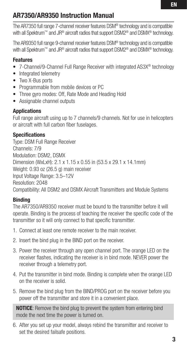## AR7350/AR9350 Instruction Manual

The AR7350 full range 7-channel receiver features DSM® technology and is compatible with all Spektrum™ and JR® aircraft radios that support DSM2® and DSMX® technology.

The AR9350 full range 9-channel receiver features DSM® technology and is compatible with all Spektrum™ and JR® aircraft radios that support DSM2® and DSMX® technology.

#### **Features**

- 7-Channel/9-Channel Full Range Receiver with integrated AS3X<sup>®</sup> technology
- Integrated telemetry
- Two X-Bus ports
- • Programmable from mobile devices or PC
- Three gyro modes: Off, Rate Mode and Heading Hold
- Assignable channel outputs

#### **Applications**

Full range aircraft using up to 7 channels/9 channels. Not for use in helicopters or aircraft with full carbon fiber fuselages.

#### **Specifications**

Type: DSM Full Range Receiver Channels: 7/9 Modulation: DSM2, DSMX Dimension (WxLxH): 2.1 x 1.15 x 0.55 in (53.5 x 29.1 x 14.1mm) Weight: 0.93 oz (26.5 g) main receiver Input Voltage Range: 3.5–12V Resolution: 2048 Compatibility: All DSM2 and DSMX Aircraft Transmitters and Module Systems

#### Binding

The AR7350/AR9350 receiver must be bound to the transmitter before it will operate. Binding is the process of teaching the receiver the specific code of the transmitter so it will only connect to that specific transmitter.

- 1. Connect at least one remote receiver to the main receiver.
- 2. Insert the bind plug in the BIND port on the receiver.
- 3. Power the receiver through any open channel port. The orange LED on the receiver flashes, indicating the receiver is in bind mode. NEVER power the receiver through a telemetry port.
- 4. Put the transmitter in bind mode. Binding is complete when the orange LED on the receiver is solid.
- 5. Remove the bind plug from the BIND/PROG port on the receiver before you power off the transmitter and store it in a convenient place.

**NOTICE:** Remove the bind plug to prevent the system from entering bind mode the next time the power is turned on.

6. After you set up your model, always rebind the transmitter and receiver to set the desired failsafe positions.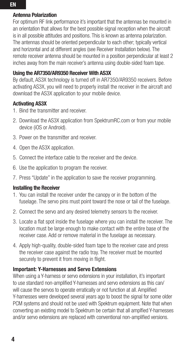#### Antenna Polarization

For optimum RF link performance it's important that the antennas be mounted in an orientation that allows for the best possible signal reception when the aircraft is in all possible attitudes and positions. This is known as antenna polarization. The antennas should be oriented perpendicular to each other; typically vertical and horizontal and at different angles (see Receiver Installation below). The remote receiver antenna should be mounted in a position perpendicular at least 2 inches away from the main receiver's antenna using double-sided foam tape.

#### Using the AR7350/AR9350 Receiver With AS3X

By default, AS3X technology is turned off in AR7350/AR9350 receivers. Before activating AS3X, you will need to properly install the receiver in the aircraft and download the AS3X application to your mobile device.

#### Activating AS3X

- 1. Bind the transmitter and receiver.
- 2. Download the AS3X application from SpektrumRC.com or from your mobile device (iOS or Android).
- 3. Power on the transmitter and receiver.
- 4. Open the AS3X application.
- 5. Connect the interface cable to the receiver and the device.
- 6. Use the application to program the receiver.
- 7. Press "Update" in the application to save the receiver programming.

#### Installing the Receiver

- 1. You can install the receiver under the canopy or in the bottom of the fuselage. The servo pins must point toward the nose or tail of the fuselage.
- 2. Connect the servo and any desired telemetry sensors to the receiver.
- 3. Locate a flat spot inside the fuselage where you can install the receiver. The location must be large enough to make contact with the entire base of the receiver case. Add or remove material in the fuselage as necessary.
- 4. Apply high-quality, double-sided foam tape to the receiver case and press the receiver case against the radio tray. The receiver must be mounted securely to prevent it from moving in flight.

#### Important: Y-Harnesses and Servo Extensions

When using a Y-harness or servo extensions in your installation, it's important to use standard non-amplified Y-harnesses and servo extensions as this can/ will cause the servos to operate erratically or not function at all. Amplified Y-harnesses were developed several years ago to boost the signal for some older PCM systems and should not be used with Spektrum equipment. Note that when converting an existing model to Spektrum be certain that all amplfied Y-harnesses and/or servo extensions are replaced with conventional non-amplified versions.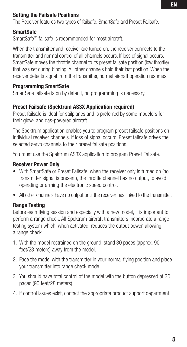#### Setting the Failsafe Positions

The Receiver features two types of failsafe: SmartSafe and Preset Failsafe.

#### SmartSafe

SmartSafe™ failsafe is recommended for most aircraft.

When the transmitter and receiver are turned on, the receiver connects to the transmitter and normal control of all channels occurs. If loss of signal occurs, SmartSafe moves the throttle channel to its preset failsafe position (low throttle) that was set during binding. All other channels hold their last position. When the receiver detects signal from the transmitter, normal aircraft operation resumes.

#### Programming SmartSafe

SmartSafe failsafe is on by default, no programming is necessary.

#### Preset Failsafe (Spektrum AS3X Application required)

Preset failsafe is ideal for sailplanes and is preferred by some modelers for their glow- and gas-powered aircraft.

The Spektrum application enables you to program preset failsafe positions on individual receiver channels. If loss of signal occurs, Preset failsafe drives the selected servo channels to their preset failsafe positions.

You must use the Spektrum AS3X application to program Preset Failsafe.

#### Receiver Power Only

- With SmartSafe or Preset Failsafe, when the receiver only is turned on (no transmitter signal is present), the throttle channel has no output, to avoid operating or arming the electronic speed control.
- All other channels have no output until the receiver has linked to the transmitter.

#### Range Testing

Before each flying session and especially with a new model, it is important to perform a range check. All Spektrum aircraft transmitters incorporate a range testing system which, when activated, reduces the output power, allowing a range check.

- 1. With the model restrained on the ground, stand 30 paces (approx. 90 feet/28 meters) away from the model.
- 2. Face the model with the transmitter in your normal flying position and place your transmitter into range check mode.
- 3. You should have total control of the model with the button depressed at 30 paces (90 feet/28 meters).
- 4. If control issues exist, contact the appropriate product support department.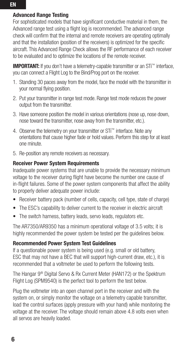#### Advanced Range Testing

For sophisticated models that have significant conductive material in them, the Advanced range test using a flight log is recommended. The advanced range check will confirm that the internal and remote receivers are operating optimally and that the installation (position of the receivers) is optimized for the specific aircraft. This Advanced Range Check allows the RF performance of each receiver to be evaluated and to optimize the locations of the remote receiver.

**IMPORTANT:** If you don't have a telemetry-capable transmitter or an STi™ interface. you can connect a Flight Log to the Bind/Prog port on the receiver.

- 1. Standing 30 paces away from the model, face the model with the transmitter in your normal flying position.
- 2. Put your transmitter in range test mode. Range test mode reduces the power output from the transmitter.
- 3. Have someone position the model in various orientations (nose up, nose down, nose toward the transmitter, nose away from the transmitter, etc.).
- 4. Observe the telemetry on your transmitter or STi™ interface. Note any orientations that cause higher fade or hold values. Perform this step for at least one minute.
- 5. Re-position any remote receivers as necessary.

#### Receiver Power System Requirements

Inadequate power systems that are unable to provide the necessary minimum voltage to the receiver during flight have become the number one cause of in-flight failures. Some of the power system components that affect the ability to properly deliver adequate power include:

- Receiver battery pack (number of cells, capacity, cell type, state of charge)
- The ESC's capability to deliver current to the receiver in electric aircraft
- The switch harness, battery leads, servo leads, regulators etc.

The AR7350/AR9350 has a minimum operational voltage of 3.5 volts; it is highly recommended the power system be tested per the guidelines below.

#### Recommended Power System Test Guidelines

If a questionable power system is being used (e.g. small or old battery, ESC that may not have a BEC that will support high-current draw, etc.), it is recommended that a voltmeter be used to perform the following tests.

The Hangar 9<sup>®</sup> Digital Servo & Rx Current Meter (HAN172) or the Spektrum Flight Log (SPM9540) is the perfect tool to perform the test below.

Plug the voltmeter into an open channel port in the receiver and with the system on, or simply monitor the voltage on a telemetry capable transmitter, load the control surfaces (apply pressure with your hand) while monitoring the voltage at the receiver. The voltage should remain above 4.8 volts even when all servos are heavily loaded.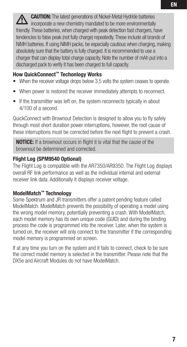**CAUTION:** The latest generations of Nickel-Metal Hydride batteries incorporate a new chemistry mandated to be more environmentally friendly. These batteries, when charged with peak detection fast chargers, have tendencies to false peak (not fully charge) repeatedly. These include all brands of NiMH batteries. If using NiMH packs, be especially cautious when charging, making absolutely sure that the battery is fully charged. It is recommended to use a charger that can display total charge capacity. Note the number of mAh put into a discharged pack to verify it has been charged to full capacity.

#### How QuickConnect™ Techonlogy Works

- When the receiver voltage drops below 3.5 volts the system ceases to operate.
- When power is restored the receiver immediately attempts to reconnect.
- If the transmitter was left on, the system reconnects typically in about 4/100 of a second.

QuickConnect with Brownout Detection is designed to allow you to fly safely through most short duration power interruptions, however, the root cause of these interruptions must be corrected before the next flight to prevent a crash.

NOTICE: If a brownout occurs in flight it is vital that the cause of the brownout be determined and corrected.

#### Flight Log (SPM9540 Optional)

The Flight Log is compatible with the AR7350/AR9350. The Flight Log displays overall RF link performance as well as the individual internal and external receiver link data. Additionally it displays receiver voltage.

#### ModelMatch™ Technology

Some Spektrum and JR transmitters offer a patent pending feature called ModelMatch. ModelMatch prevents the possibility of operating a model using the wrong model memory, potentially preventing a crash. With ModelMatch, each model memory has its own unique code (GUID) and during the binding process the code is programmed into the receiver. Later, when the system is turned on, the receiver will only connect to the transmitter if the corresponding model memory is programmed on screen.

If at any time you turn on the system and it fails to connect, check to be sure the correct model memory is selected in the transmitter. Please note that the DX5e and Aircraft Modules do not have ModelMatch.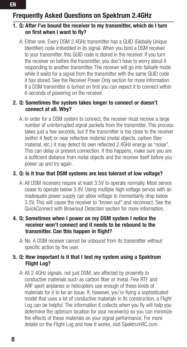# Frequently Asked Questions on Spektrum 2.4GHz

#### 1. Q: After I've bound the receiver to my transmitter, which do I turn on first when I want to fly?

 A: Either one. Every DSM 2.4GHz transmitter has a GUID (Globally Unique Identifier) code imbedded in its signal. When you bind a DSM receiver to your transmitter, this GUID code is stored in the receiver. If you turn the receiver on before the transmitter, you don't have to worry about it responding to another transmitter. The receiver will go into failsafe mode while it waits for a signal from the transmitter with the same GUID code it has stored. See the Receiver Power Only section for more information. If a DSM transmitter is turned on first you can expect it to connect within 6 seconds of powering on the receiver.

#### 2. Q: Sometimes the system takes longer to connect or doesn't connect at all. Why?

A: In order for a DSM system to connect, the receiver must receive a large number of uninterrupted signal packets from the transmitter. This process takes just a few seconds, but if the transmitter is too close to the receiver (within 4 feet) or near reflective material (metal objects, carbon fiber material, etc.) it may detect its own reflected 2.4GHz energy as "noise". This can delay or prevent connection. If this happens, make sure you are a sufficient distance from metal objects and the receiver itself before you power up and try again.

#### 3. Q: Is it true that DSM systems are less tolerant of low voltage?

A: All DSM receivers require at least 3.5V to operate normally. Most servos cease to operate below 3.8V. Using multiple high-voltage servos with an inadequate power supply can allow voltage to momentarily drop below 3.5V. This will cause the receiver to "brown out" and reconnect. See the QuickConnect with Brownout Detection section for more information.

#### 4. Q: Sometimes when I power on my DSM system I notice the receiver won't connect and it needs to be rebound to the transmitter. Can this happen in flight?

A: No. A DSM receiver cannot be unbound from its transmitter without specific action by the user.

#### 5. Q: How important is it that I test my system using a Spektrum Flight Log?

A: All 2.4GHz signals, not just DSM, are affected by proximity to conductive materials such as carbon fiber or metal. Few RTF and ARF sport airplanes or helicopters use enough of these kinds of materials for it to be an issue. If, however, you're flying a sophisticated model that uses a lot of conductive materials in its construction, a Flight Log can be helpful. The information it collects when you fly will help you determine the optimum location for your receiver(s) so you can minimize the effects of these materials on your signal performance. For more details on the Flight Log and how it works, visit SpektrumRC.com.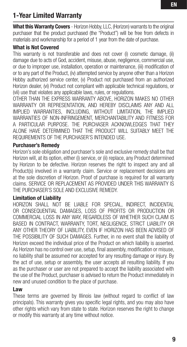## 1-Year Limited Warranty

What this Warranty Covers - Horizon Hobby, LLC, (Horizon) warrants to the original purchaser that the product purchased (the "Product") will be free from defects in materials and workmanship for a period of 1 year from the date of purchase.

#### What is Not Covered

This warranty is not transferable and does not cover (i) cosmetic damage, (ii) damage due to acts of God, accident, misuse, abuse, negligence, commercial use, or due to improper use, installation, operation or maintenance, (iii) modification of or to any part of the Product, (iv) attempted service by anyone other than a Horizon Hobby authorized service center, (v) Product not purchased from an authorized Horizon dealer, (vi) Product not compliant with applicable technical regulations, or (vii) use that violates any applicable laws, rules, or regulations.

OTHER THAN THE EXPRESS WARRANTY ABOVE, HORIZON MAKES NO OTHER WARRANTY OR REPRESENTATION, AND HEREBY DISCLAIMS ANY AND ALL IMPLIED WARRANTIES, INCLUDING, WITHOUT LIMITATION, THE IMPLIED WARRANTIES OF NON-INFRINGEMENT, MERCHANTABILITY AND FITNESS FOR A PARTICULAR PURPOSE. THE PURCHASER ACKNOWLEDGES THAT THEY ALONE HAVE DETERMINED THAT THE PRODUCT WILL SUITABLY MEET THE REQUIREMENTS OF THE PURCHASER'S INTENDED USE.

#### Purchaser's Remedy

Horizon's sole obligation and purchaser's sole and exclusive remedy shall be that Horizon will, at its option, either (i) service, or (ii) replace, any Product determined by Horizon to be defective. Horizon reserves the right to inspect any and all Product(s) involved in a warranty claim. Service or replacement decisions are at the sole discretion of Horizon. Proof of purchase is required for all warranty claims. SERVICE OR REPLACEMENT AS PROVIDED UNDER THIS WARRANTY IS THE PURCHASER'S SOLE AND EXCLUSIVE REMEDY.

#### Limitation of Liability

HORIZON SHALL NOT BE LIABLE FOR SPECIAL, INDIRECT, INCIDENTAL OR CONSEQUENTIAL DAMAGES, LOSS OF PROFITS OR PRODUCTION OR COMMERCIAL LOSS IN ANY WAY, REGARDLESS OF WHETHER SUCH CLAIM IS BASED IN CONTRACT, WARRANTY, TORT, NEGLIGENCE, STRICT LIABILITY OR ANY OTHER THEORY OF LIABILITY, EVEN IF HORIZON HAS BEEN ADVISED OF THE POSSIBILITY OF SUCH DAMAGES. Further, in no event shall the liability of Horizon exceed the individual price of the Product on which liability is asserted. As Horizon has no control over use, setup, final assembly, modification or misuse, no liability shall be assumed nor accepted for any resulting damage or injury. By the act of use, setup or assembly, the user accepts all resulting liability. If you as the purchaser or user are not prepared to accept the liability associated with the use of the Product, purchaser is advised to return the Product immediately in new and unused condition to the place of purchase.

#### Law

These terms are governed by Illinois law (without regard to conflict of law principals). This warranty gives you specific legal rights, and you may also have other rights which vary from state to state. Horizon reserves the right to change or modify this warranty at any time without notice.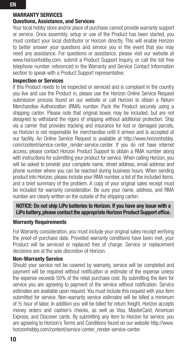#### WARRANTY SERVICES

#### Questions, Assistance, and Services

Your local hobby store and/or place of purchase cannot provide warranty support or service. Once assembly, setup or use of the Product has been started, you must contact your local distributor or Horizon directly. This will enable Horizon to better answer your questions and service you in the event that you may need any assistance. For questions or assistance, please visit our website at www.horizonhobby.com, submit a Product Support Inquiry, or call the toll free telephone number referenced in the Warranty and Service Contact Information section to speak with a Product Support representative.

#### Inspection or Services

If this Product needs to be inspected or serviced and is compliant in the country you live and use the Product in, please use the Horizon Online Service Request submission process found on our website or call Horizon to obtain a Return Merchandise Authorization (RMA) number. Pack the Product securely using a shipping carton. Please note that original boxes may be included, but are not designed to withstand the rigors of shipping without additional protection. Ship via a carrier that provides tracking and insurance for lost or damaged parcels, as Horizon is not responsible for merchandise until it arrives and is accepted at our facility. An Online Service Request is available at http://www.horizonhobby. com/content/service-center\_render-service-center. If you do not have internet access, please contact Horizon Product Support to obtain a RMA number along with instructions for submitting your product for service. When calling Horizon, you will be asked to provide your complete name, street address, email address and phone number where you can be reached during business hours. When sending product into Horizon, please include your RMA number, a list of the included items, and a brief summary of the problem. A copy of your original sales receipt must be included for warranty consideration. Be sure your name, address, and RMA number are clearly written on the outside of the shipping carton.

#### NOTICE: Do not ship LiPo batteries to Horizon. If you have any issue with a LiPo battery, please contact the appropriate Horizon Product Support office.

#### Warranty Requirements

For Warranty consideration, you must include your original sales receipt verifying the proof-of-purchase date. Provided warranty conditions have been met, your Product will be serviced or replaced free of charge. Service or replacement decisions are at the sole discretion of Horizon.

#### Non-Warranty Service

Should your service not be covered by warranty, service will be completed and payment will be required without notification or estimate of the expense unless the expense exceeds 50% of the retail purchase cost. By submitting the item for service you are agreeing to payment of the service without notification. Service estimates are available upon request. You must include this request with your item submitted for service. Non-warranty service estimates will be billed a minimum of ½ hour of labor. In addition you will be billed for return freight. Horizon accepts money orders and cashier's checks, as well as Visa, MasterCard, American Express, and Discover cards. By submitting any item to Horizon for service, you are agreeing to Horizon's Terms and Conditions found on our website http://www. horizonhobby.com/content/service-center\_render-service-center.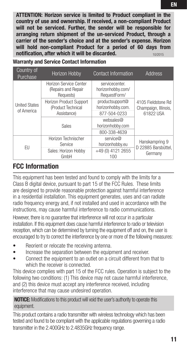ATTENTION: Horizon service is limited to Product compliant in the country of use and ownership. If received, a non-compliant Product will not be serviced. Further, the sender will be responsible for arranging return shipment of the un-serviced Product, through a carrier of the sender's choice and at the sender's expense. Horizon will hold non-compliant Product for a period of 60 days from notification, after which it will be discarded.

Warranty and Service Contact Information

| Country of<br>Purchase             | Horizon Hobby                                              | <b>Contact Information</b>                          | <b>Address</b>                                          |
|------------------------------------|------------------------------------------------------------|-----------------------------------------------------|---------------------------------------------------------|
| <b>United States</b><br>of America | Horizon Service Center<br>(Repairs and Repair<br>Requests) | servicecenter.<br>horizonhobby.com/<br>RequestForm/ | 4105 Fieldstone Rd<br>Champaign, Illinois,<br>61822 USA |
|                                    | Horizon Product Support<br>(Product Technical              | productsupport@<br>horizonhobby.com.                |                                                         |
|                                    | Assistance)                                                | 877-504-0233                                        |                                                         |
|                                    | Sales                                                      | websales@<br>horizonhobby.com                       |                                                         |
|                                    |                                                            | 800-338-4639                                        |                                                         |
| FU                                 | Horizon Technischer<br>Service                             | service@<br>horizonhobby.eu                         | Hanskampring 9<br>D 22885 Barsbüttel,<br>Germany        |
|                                    | Sales: Horizon Hobby<br>GmbH                               | +49 (0) 4121 2655<br>100                            |                                                         |

## FCC Information

This equipment has been tested and found to comply with the limits for a Class B digital device, pursuant to part 15 of the FCC Rules. These limits are designed to provide reasonable protection against harmful interference in a residential installation. This equipment generates, uses and can radiate radio frequency energy and, if not installed and used in accordance with the instructions, may cause harmful interference to radio communications.

However, there is no guarantee that interference will not occur in a particular installation. If this equipment does cause harmful interference to radio or television reception, which can be determined by turning the equipment off and on, the user is encouraged to try to correct the interference by one or more of the following measures:

- Reorient or relocate the receiving antenna.
- Increase the separation between the equipment and receiver.
- Connect the equipment to an outlet on a circuit different from that to which the receiver is connected.

This device complies with part 15 of the FCC rules. Operation is subject to the following two conditions: (1) This device may not cause harmful interference, and (2) this device must accept any interference received, including interference that may cause undesired operation.

NOTICE: Modifications to this product will void the user's authority to operate this equipment.

This product contains a radio transmitter with wireless technology which has been tested and found to be compliant with the applicable regulations governing a radio transmitter in the 2.400GHz to 2.4835GHz frequencyrange.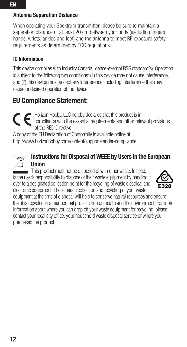#### Antenna Separation Distance

When operating your Spektrum transmitter, please be sure to maintain a separation distance of at least 20 cm between your body (excluding fingers, hands, wrists, ankles and feet) and the antenna to meet RF exposure safety requirements as determined by FCC regulations.

#### IC Information

This device complies with Industry Canada license-exempt RSS standard(s). Operation is subject to the following two conditions: (1) this device may not cause interference, and (2) this device must accept any interference, including interference that may cause undesired operation of the device.

### EU Compliance Statement:

Horizon Hobby, LLC hereby declares that this product is in compliance with the essential requirements and other relevant provisions of the RED Directive.

A copy of the EU Declaration of Conformity is available online at: http://www.horizonhobby.com/content/support-render-compliance.

#### Instructions for Disposal of WEEE by Users in the European Union

 $\hat{ }$  This product must not be disposed of with other waste. Instead, it is the user's responsibility to dispose of their waste equipment by handing it over to a designated collection point for the recycling of waste electrical and electronic equipment. The separate collection and recycling of your waste



equipment at the time of disposal will help to conserve natural resources and ensure that it is recycled in a manner that protects human health and the environment. For more information about where you can drop off your waste equipment for recycling, please contact your local city office, your household waste disposal service or where you purchased the product.